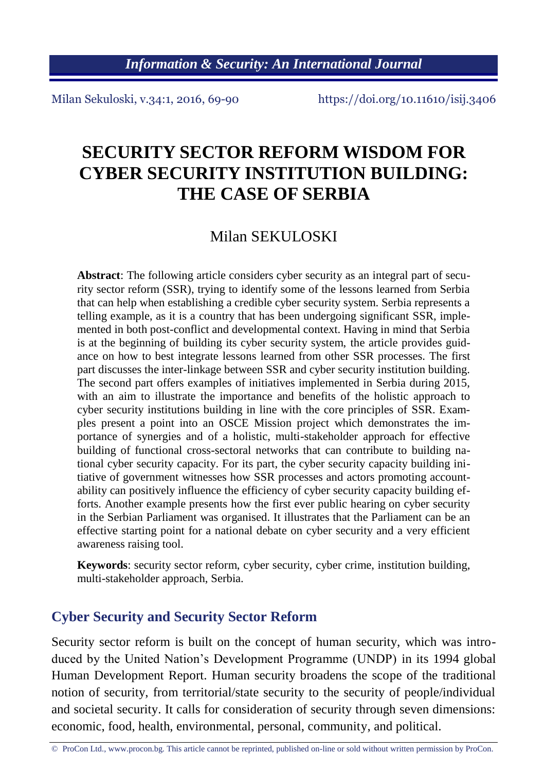Milan Sekuloski, v.34:1, 2016, 69-90 https://doi.org/10.11610/isij.3406

# **SECURITY SECTOR REFORM WISDOM FOR CYBER SECURITY INSTITUTION BUILDING: THE CASE OF SERBIA**

# Milan SEKULOSKI

**Abstract**: The following article considers cyber security as an integral part of security sector reform (SSR), trying to identify some of the lessons learned from Serbia that can help when establishing a credible cyber security system. Serbia represents a telling example, as it is a country that has been undergoing significant SSR, implemented in both post-conflict and developmental context. Having in mind that Serbia is at the beginning of building its cyber security system, the article provides guidance on how to best integrate lessons learned from other SSR processes. The first part discusses the inter-linkage between SSR and cyber security institution building. The second part offers examples of initiatives implemented in Serbia during 2015, with an aim to illustrate the importance and benefits of the holistic approach to cyber security institutions building in line with the core principles of SSR. Examples present a point into an OSCE Mission project which demonstrates the importance of synergies and of a holistic, multi-stakeholder approach for effective building of functional cross-sectoral networks that can contribute to building national cyber security capacity. For its part, the cyber security capacity building initiative of government witnesses how SSR processes and actors promoting accountability can positively influence the efficiency of cyber security capacity building efforts. Another example presents how the first ever public hearing on cyber security in the Serbian Parliament was organised. It illustrates that the Parliament can be an effective starting point for a national debate on cyber security and a very efficient awareness raising tool.

**Keywords**: security sector reform, cyber security, cyber crime, institution building, multi-stakeholder approach, Serbia.

#### **Cyber Security and Security Sector Reform**

Security sector reform is built on the concept of human security, which was introduced by the United Nation's Development Programme (UNDP) in its 1994 global Human Development Report. Human security broadens the scope of the traditional notion of security, from territorial/state security to the security of people/individual and societal security. It calls for consideration of security through seven dimensions: economic, food, health, environmental, personal, community, and political.

<sup>©</sup> ProCon Ltd., www.procon.bg. This article cannot be reprinted, published on-line or sold without written permission by ProCon.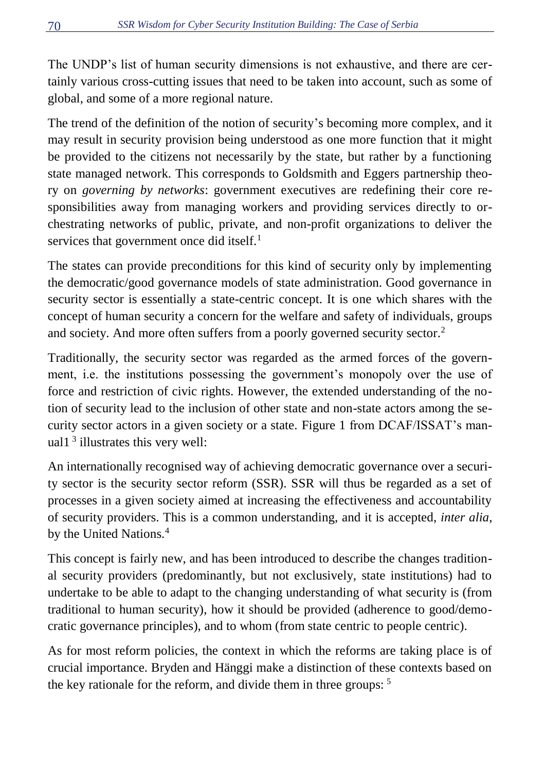The UNDP's list of human security dimensions is not exhaustive, and there are certainly various cross-cutting issues that need to be taken into account, such as some of global, and some of a more regional nature.

The trend of the definition of the notion of security's becoming more complex, and it may result in security provision being understood as one more function that it might be provided to the citizens not necessarily by the state, but rather by a functioning state managed network. This corresponds to Goldsmith and Eggers partnership theory on *governing by networks*: government executives are redefining their core responsibilities away from managing workers and providing services directly to orchestrating networks of public, private, and non-profit organizations to deliver the services that government once did itself.<sup>1</sup>

The states can provide preconditions for this kind of security only by implementing the democratic/good governance models of state administration. Good governance in security sector is essentially a state-centric concept. It is one which shares with the concept of human security a concern for the welfare and safety of individuals, groups and society. And more often suffers from a poorly governed security sector.<sup>2</sup>

Traditionally, the security sector was regarded as the armed forces of the government, i.e. the institutions possessing the government's monopoly over the use of force and restriction of civic rights. However, the extended understanding of the notion of security lead to the inclusion of other state and non-state actors among the security sector actors in a given society or a state. Figure 1 from DCAF/ISSAT's manual1<sup>3</sup> illustrates this very well:

An internationally recognised way of achieving democratic governance over a security sector is the security sector reform (SSR). SSR will thus be regarded as a set of processes in a given society aimed at increasing the effectiveness and accountability of security providers. This is a common understanding, and it is accepted, *inter alia*, by the United Nations.<sup>4</sup>

This concept is fairly new, and has been introduced to describe the changes traditional security providers (predominantly, but not exclusively, state institutions) had to undertake to be able to adapt to the changing understanding of what security is (from traditional to human security), how it should be provided (adherence to good/democratic governance principles), and to whom (from state centric to people centric).

As for most reform policies, the context in which the reforms are taking place is of crucial importance. Bryden and Hänggi make a distinction of these contexts based on the key rationale for the reform, and divide them in three groups:  $5$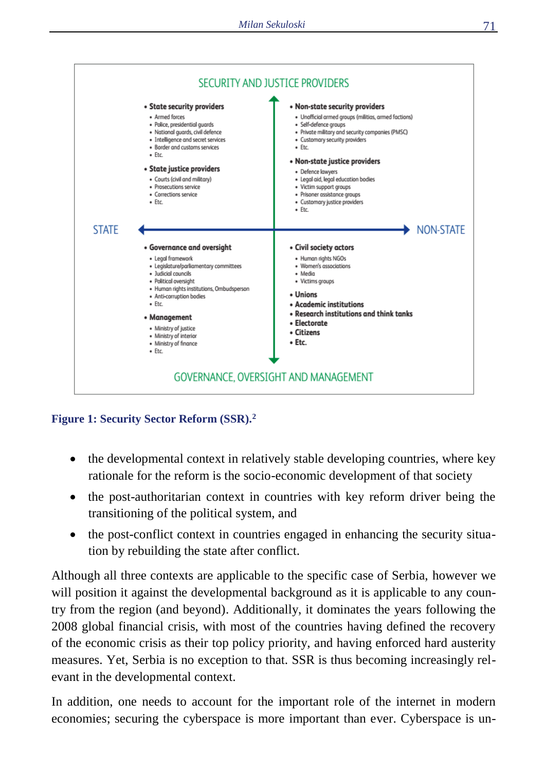

**Figure 1: Security Sector Reform (SSR).<sup>2</sup>**

- the developmental context in relatively stable developing countries, where key rationale for the reform is the socio-economic development of that society
- the post-authoritarian context in countries with key reform driver being the transitioning of the political system, and
- the post-conflict context in countries engaged in enhancing the security situation by rebuilding the state after conflict.

Although all three contexts are applicable to the specific case of Serbia, however we will position it against the developmental background as it is applicable to any country from the region (and beyond). Additionally, it dominates the years following the 2008 global financial crisis, with most of the countries having defined the recovery of the economic crisis as their top policy priority, and having enforced hard austerity measures. Yet, Serbia is no exception to that. SSR is thus becoming increasingly relevant in the developmental context.

In addition, one needs to account for the important role of the internet in modern economies; securing the cyberspace is more important than ever. Cyberspace is un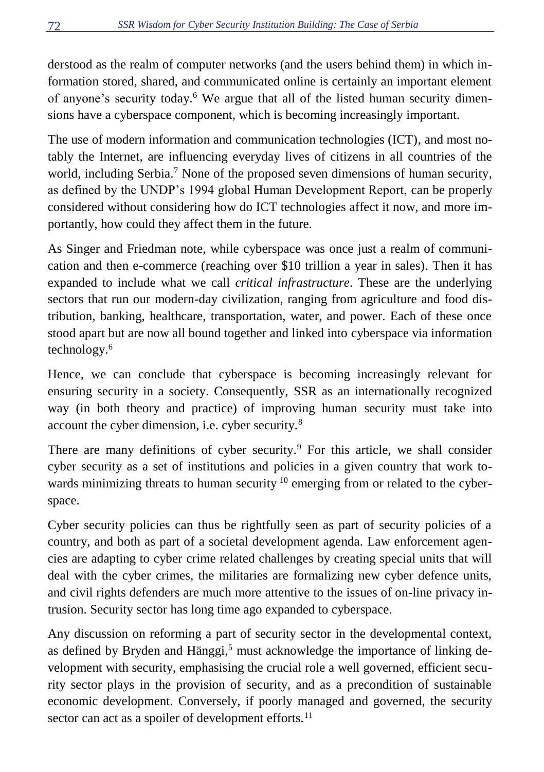derstood as the realm of computer networks (and the users behind them) in which information stored, shared, and communicated online is certainly an important element of anyone's security today.<sup>6</sup> We argue that all of the listed human security dimensions have a cyberspace component, which is becoming increasingly important.

The use of modern information and communication technologies (ICT), and most notably the Internet, are influencing everyday lives of citizens in all countries of the world. including Serbia.<sup>7</sup> None of the proposed seven dimensions of human security, as defined by the UNDP's 1994 global Human Development Report, can be properly considered without considering how do ICT technologies affect it now, and more importantly, how could they affect them in the future.

As Singer and Friedman note, while cyberspace was once just a realm of communication and then e-commerce (reaching over \$10 trillion a year in sales). Then it has expanded to include what we call *critical infrastructure*. These are the underlying sectors that run our modern-day civilization, ranging from agriculture and food distribution, banking, healthcare, transportation, water, and power. Each of these once stood apart but are now all bound together and linked into cyberspace via information technology.<sup>6</sup>

Hence, we can conclude that cyberspace is becoming increasingly relevant for ensuring security in a society. Consequently, SSR as an internationally recognized way (in both theory and practice) of improving human security must take into account the cyber dimension, i.e. cyber security.<sup>8</sup>

There are many definitions of cyber security.<sup>9</sup> For this article, we shall consider cyber security as a set of institutions and policies in a given country that work towards minimizing threats to human security <sup>10</sup> emerging from or related to the cyberspace.

Cyber security policies can thus be rightfully seen as part of security policies of a country, and both as part of a societal development agenda. Law enforcement agencies are adapting to cyber crime related challenges by creating special units that will deal with the cyber crimes, the militaries are formalizing new cyber defence units, and civil rights defenders are much more attentive to the issues of on-line privacy intrusion. Security sector has long time ago expanded to cyberspace.

Any discussion on reforming a part of security sector in the developmental context, as defined by Bryden and Hänggi, <sup>5</sup> must acknowledge the importance of linking development with security, emphasising the crucial role a well governed, efficient security sector plays in the provision of security, and as a precondition of sustainable economic development. Conversely, if poorly managed and governed, the security sector can act as a spoiler of development efforts.<sup>11</sup>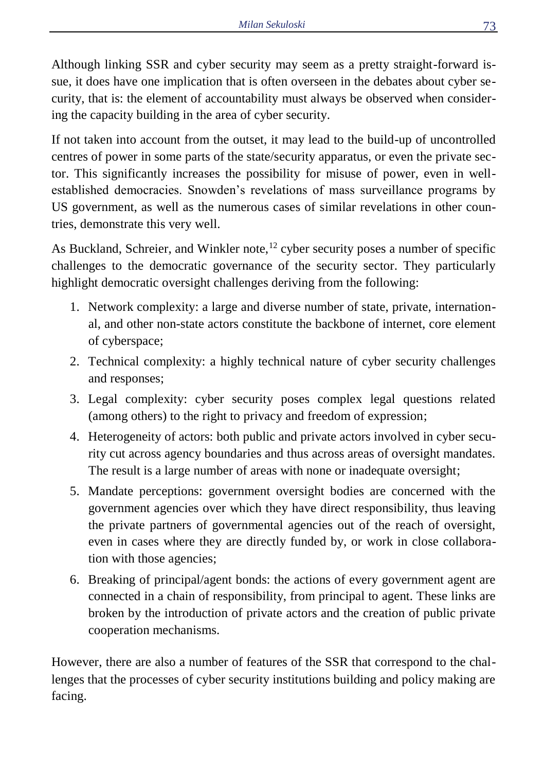Although linking SSR and cyber security may seem as a pretty straight-forward issue, it does have one implication that is often overseen in the debates about cyber security, that is: the element of accountability must always be observed when considering the capacity building in the area of cyber security.

If not taken into account from the outset, it may lead to the build-up of uncontrolled centres of power in some parts of the state/security apparatus, or even the private sector. This significantly increases the possibility for misuse of power, even in wellestablished democracies. Snowden's revelations of mass surveillance programs by US government, as well as the numerous cases of similar revelations in other countries, demonstrate this very well.

As Buckland, Schreier, and Winkler note,  $^{12}$  cyber security poses a number of specific challenges to the democratic governance of the security sector. They particularly highlight democratic oversight challenges deriving from the following:

- 1. Network complexity: a large and diverse number of state, private, international, and other non-state actors constitute the backbone of internet, core element of cyberspace;
- 2. Technical complexity: a highly technical nature of cyber security challenges and responses;
- 3. Legal complexity: cyber security poses complex legal questions related (among others) to the right to privacy and freedom of expression;
- 4. Heterogeneity of actors: both public and private actors involved in cyber security cut across agency boundaries and thus across areas of oversight mandates. The result is a large number of areas with none or inadequate oversight;
- 5. Mandate perceptions: government oversight bodies are concerned with the government agencies over which they have direct responsibility, thus leaving the private partners of governmental agencies out of the reach of oversight, even in cases where they are directly funded by, or work in close collaboration with those agencies;
- 6. Breaking of principal/agent bonds: the actions of every government agent are connected in a chain of responsibility, from principal to agent. These links are broken by the introduction of private actors and the creation of public private cooperation mechanisms.

However, there are also a number of features of the SSR that correspond to the challenges that the processes of cyber security institutions building and policy making are facing.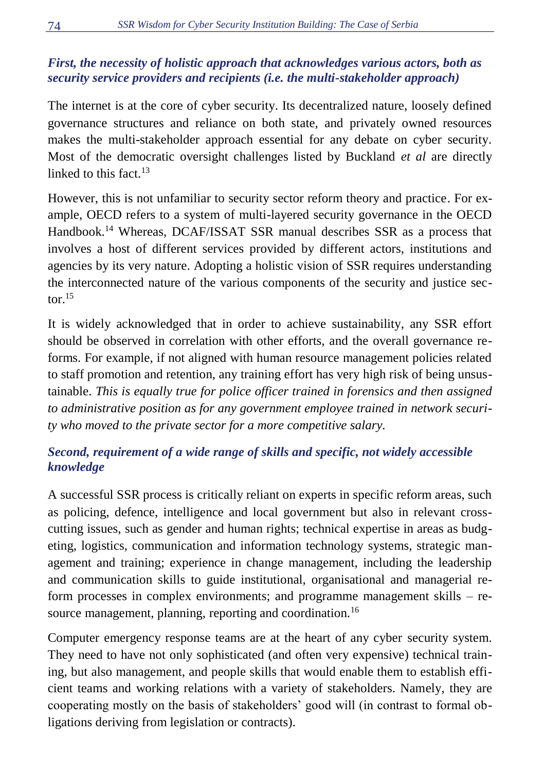# *First, the necessity of holistic approach that acknowledges various actors, both as security service providers and recipients (i.e. the multi-stakeholder approach)*

The internet is at the core of cyber security. Its decentralized nature, loosely defined governance structures and reliance on both state, and privately owned resources makes the multi-stakeholder approach essential for any debate on cyber security. Most of the democratic oversight challenges listed by Buckland *et al* are directly linked to this fact  $13$ 

However, this is not unfamiliar to security sector reform theory and practice. For example, OECD refers to a system of multi-layered security governance in the OECD Handbook.<sup>14</sup> Whereas, DCAF/ISSAT SSR manual describes SSR as a process that involves a host of different services provided by different actors, institutions and agencies by its very nature. Adopting a holistic vision of SSR requires understanding the interconnected nature of the various components of the security and justice sector $15$ 

It is widely acknowledged that in order to achieve sustainability, any SSR effort should be observed in correlation with other efforts, and the overall governance reforms. For example, if not aligned with human resource management policies related to staff promotion and retention, any training effort has very high risk of being unsustainable. *This is equally true for police officer trained in forensics and then assigned to administrative position as for any government employee trained in network security who moved to the private sector for a more competitive salary.*

# *Second, requirement of a wide range of skills and specific, not widely accessible knowledge*

A successful SSR process is critically reliant on experts in specific reform areas, such as policing, defence, intelligence and local government but also in relevant crosscutting issues, such as gender and human rights; technical expertise in areas as budgeting, logistics, communication and information technology systems, strategic management and training; experience in change management, including the leadership and communication skills to guide institutional, organisational and managerial reform processes in complex environments; and programme management skills – resource management, planning, reporting and coordination.<sup>16</sup>

Computer emergency response teams are at the heart of any cyber security system. They need to have not only sophisticated (and often very expensive) technical training, but also management, and people skills that would enable them to establish efficient teams and working relations with a variety of stakeholders. Namely, they are cooperating mostly on the basis of stakeholders' good will (in contrast to formal obligations deriving from legislation or contracts).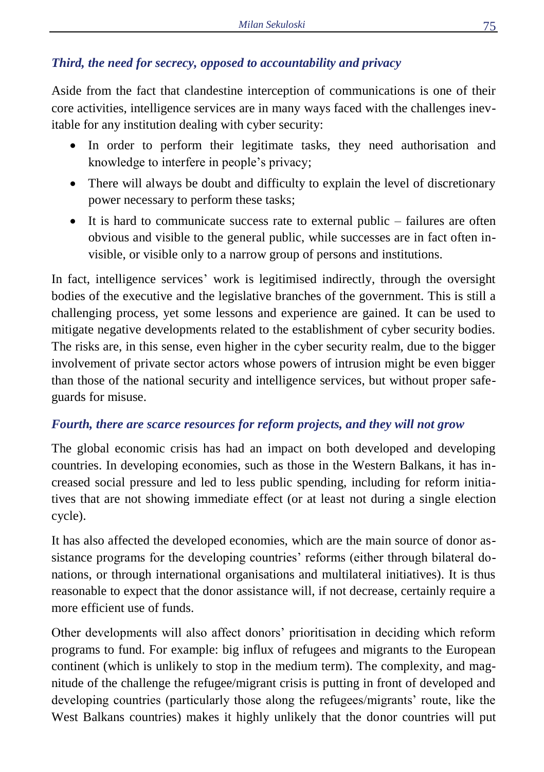# *Third, the need for secrecy, opposed to accountability and privacy*

Aside from the fact that clandestine interception of communications is one of their core activities, intelligence services are in many ways faced with the challenges inevitable for any institution dealing with cyber security:

- In order to perform their legitimate tasks, they need authorisation and knowledge to interfere in people's privacy;
- There will always be doubt and difficulty to explain the level of discretionary power necessary to perform these tasks;
- It is hard to communicate success rate to external public  $-$  failures are often obvious and visible to the general public, while successes are in fact often invisible, or visible only to a narrow group of persons and institutions.

In fact, intelligence services' work is legitimised indirectly, through the oversight bodies of the executive and the legislative branches of the government. This is still a challenging process, yet some lessons and experience are gained. It can be used to mitigate negative developments related to the establishment of cyber security bodies. The risks are, in this sense, even higher in the cyber security realm, due to the bigger involvement of private sector actors whose powers of intrusion might be even bigger than those of the national security and intelligence services, but without proper safeguards for misuse.

#### *Fourth, there are scarce resources for reform projects, and they will not grow*

The global economic crisis has had an impact on both developed and developing countries. In developing economies, such as those in the Western Balkans, it has increased social pressure and led to less public spending, including for reform initiatives that are not showing immediate effect (or at least not during a single election cycle).

It has also affected the developed economies, which are the main source of donor assistance programs for the developing countries' reforms (either through bilateral donations, or through international organisations and multilateral initiatives). It is thus reasonable to expect that the donor assistance will, if not decrease, certainly require a more efficient use of funds.

Other developments will also affect donors' prioritisation in deciding which reform programs to fund. For example: big influx of refugees and migrants to the European continent (which is unlikely to stop in the medium term). The complexity, and magnitude of the challenge the refugee/migrant crisis is putting in front of developed and developing countries (particularly those along the refugees/migrants' route, like the West Balkans countries) makes it highly unlikely that the donor countries will put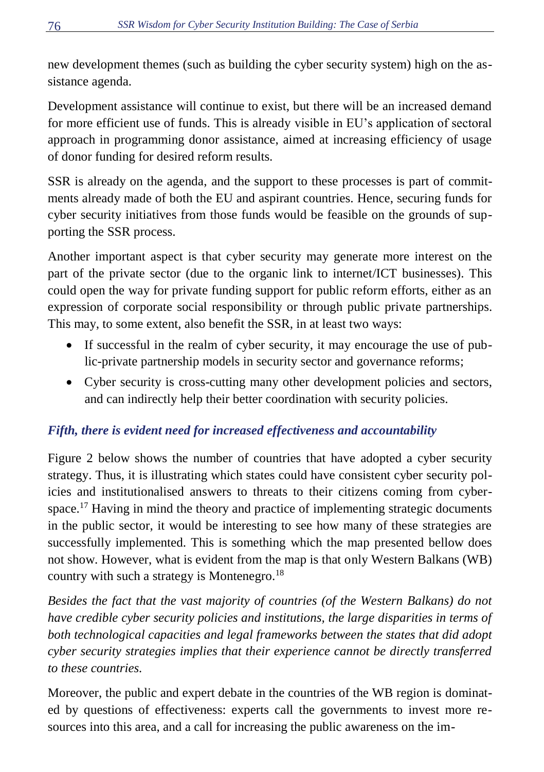new development themes (such as building the cyber security system) high on the assistance agenda.

Development assistance will continue to exist, but there will be an increased demand for more efficient use of funds. This is already visible in EU's application of sectoral approach in programming donor assistance, aimed at increasing efficiency of usage of donor funding for desired reform results.

SSR is already on the agenda, and the support to these processes is part of commitments already made of both the EU and aspirant countries. Hence, securing funds for cyber security initiatives from those funds would be feasible on the grounds of supporting the SSR process.

Another important aspect is that cyber security may generate more interest on the part of the private sector (due to the organic link to internet/ICT businesses). This could open the way for private funding support for public reform efforts, either as an expression of corporate social responsibility or through public private partnerships. This may, to some extent, also benefit the SSR, in at least two ways:

- If successful in the realm of cyber security, it may encourage the use of public-private partnership models in security sector and governance reforms;
- Cyber security is cross-cutting many other development policies and sectors, and can indirectly help their better coordination with security policies.

# *Fifth, there is evident need for increased effectiveness and accountability*

Figure 2 below shows the number of countries that have adopted a cyber security strategy. Thus, it is illustrating which states could have consistent cyber security policies and institutionalised answers to threats to their citizens coming from cyberspace.<sup>17</sup> Having in mind the theory and practice of implementing strategic documents in the public sector, it would be interesting to see how many of these strategies are successfully implemented. This is something which the map presented bellow does not show. However, what is evident from the map is that only Western Balkans (WB) country with such a strategy is Montenegro.<sup>18</sup>

*Besides the fact that the vast majority of countries (of the Western Balkans) do not have credible cyber security policies and institutions, the large disparities in terms of both technological capacities and legal frameworks between the states that did adopt cyber security strategies implies that their experience cannot be directly transferred to these countries.*

Moreover, the public and expert debate in the countries of the WB region is dominated by questions of effectiveness: experts call the governments to invest more resources into this area, and a call for increasing the public awareness on the im-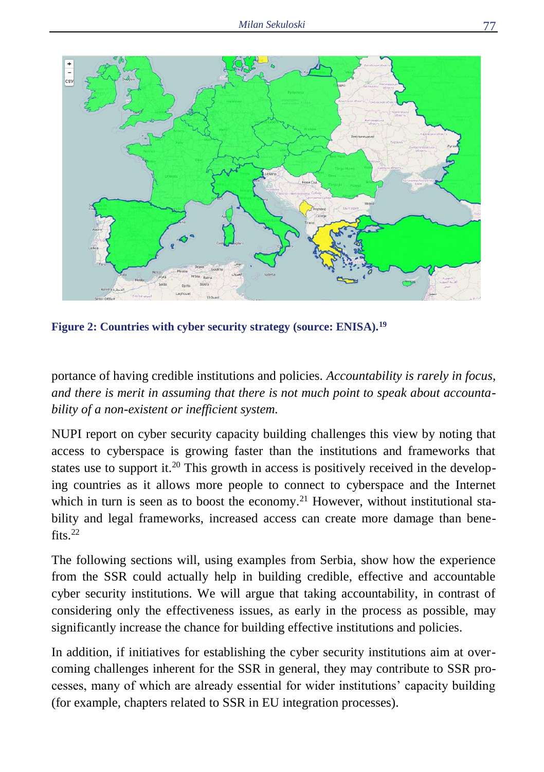

**Figure 2: Countries with cyber security strategy (source: ENISA).<sup>19</sup>**

portance of having credible institutions and policies. *Accountability is rarely in focus, and there is merit in assuming that there is not much point to speak about accountability of a non-existent or inefficient system.*

NUPI report on cyber security capacity building challenges this view by noting that access to cyberspace is growing faster than the institutions and frameworks that states use to support it.<sup>20</sup> This growth in access is positively received in the developing countries as it allows more people to connect to cyberspace and the Internet which in turn is seen as to boost the economy.<sup>21</sup> However, without institutional stability and legal frameworks, increased access can create more damage than benefits. $22$ 

The following sections will, using examples from Serbia, show how the experience from the SSR could actually help in building credible, effective and accountable cyber security institutions. We will argue that taking accountability, in contrast of considering only the effectiveness issues, as early in the process as possible, may significantly increase the chance for building effective institutions and policies.

In addition, if initiatives for establishing the cyber security institutions aim at overcoming challenges inherent for the SSR in general, they may contribute to SSR processes, many of which are already essential for wider institutions' capacity building (for example, chapters related to SSR in EU integration processes).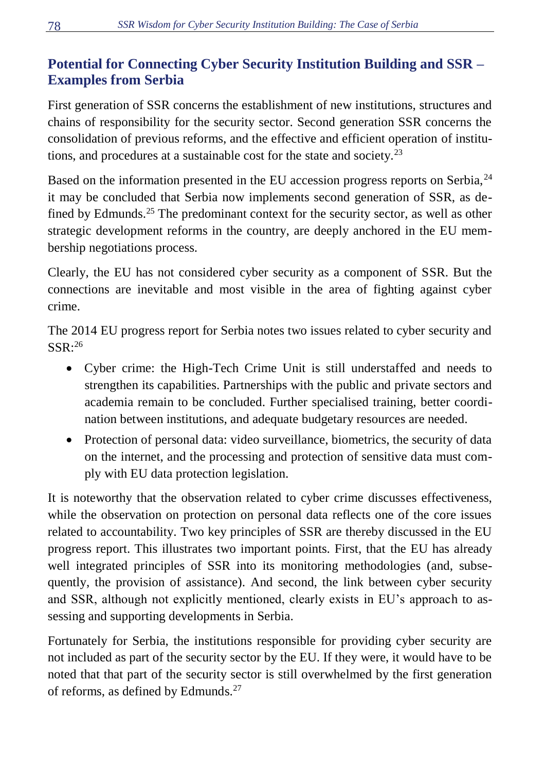# **Potential for Connecting Cyber Security Institution Building and SSR – Examples from Serbia**

First generation of SSR concerns the establishment of new institutions, structures and chains of responsibility for the security sector. Second generation SSR concerns the consolidation of previous reforms, and the effective and efficient operation of institutions, and procedures at a sustainable cost for the state and society.<sup>23</sup>

Based on the information presented in the EU accession progress reports on Serbia, <sup>24</sup> it may be concluded that Serbia now implements second generation of SSR, as defined by Edmunds.<sup>25</sup> The predominant context for the security sector, as well as other strategic development reforms in the country, are deeply anchored in the EU membership negotiations process.

Clearly, the EU has not considered cyber security as a component of SSR. But the connections are inevitable and most visible in the area of fighting against cyber crime.

The 2014 EU progress report for Serbia notes two issues related to cyber security and  $SSR:^{26}$ 

- Cyber crime: the High-Tech Crime Unit is still understaffed and needs to strengthen its capabilities. Partnerships with the public and private sectors and academia remain to be concluded. Further specialised training, better coordination between institutions, and adequate budgetary resources are needed.
- Protection of personal data: video surveillance, biometrics, the security of data on the internet, and the processing and protection of sensitive data must comply with EU data protection legislation.

It is noteworthy that the observation related to cyber crime discusses effectiveness, while the observation on protection on personal data reflects one of the core issues related to accountability. Two key principles of SSR are thereby discussed in the EU progress report. This illustrates two important points. First, that the EU has already well integrated principles of SSR into its monitoring methodologies (and, subsequently, the provision of assistance). And second, the link between cyber security and SSR, although not explicitly mentioned, clearly exists in EU's approach to assessing and supporting developments in Serbia.

Fortunately for Serbia, the institutions responsible for providing cyber security are not included as part of the security sector by the EU. If they were, it would have to be noted that that part of the security sector is still overwhelmed by the first generation of reforms, as defined by Edmunds.<sup>27</sup>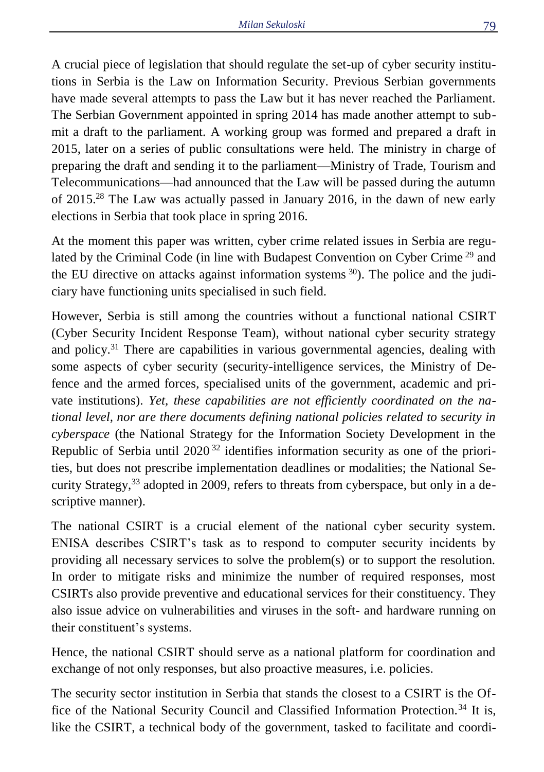A crucial piece of legislation that should regulate the set-up of cyber security institutions in Serbia is the Law on Information Security. Previous Serbian governments have made several attempts to pass the Law but it has never reached the Parliament. The Serbian Government appointed in spring 2014 has made another attempt to submit a draft to the parliament. A working group was formed and prepared a draft in 2015, later on a series of public consultations were held. The ministry in charge of preparing the draft and sending it to the parliament—Ministry of Trade, Tourism and Telecommunications—had announced that the Law will be passed during the autumn of 2015.<sup>28</sup> The Law was actually passed in January 2016, in the dawn of new early elections in Serbia that took place in spring 2016.

At the moment this paper was written, cyber crime related issues in Serbia are regulated by the Criminal Code (in line with Budapest Convention on Cyber Crime <sup>29</sup> and the EU directive on attacks against information systems  $30$ ). The police and the judiciary have functioning units specialised in such field.

However, Serbia is still among the countries without a functional national CSIRT (Cyber Security Incident Response Team), without national cyber security strategy and policy. <sup>31</sup> There are capabilities in various governmental agencies, dealing with some aspects of cyber security (security-intelligence services, the Ministry of Defence and the armed forces, specialised units of the government, academic and private institutions). *Yet, these capabilities are not efficiently coordinated on the national level, nor are there documents defining national policies related to security in cyberspace* (the National Strategy for the Information Society Development in the Republic of Serbia until  $2020^{32}$  identifies information security as one of the priorities, but does not prescribe implementation deadlines or modalities; the National Security Strategy,<sup>33</sup> adopted in 2009, refers to threats from cyberspace, but only in a descriptive manner).

The national CSIRT is a crucial element of the national cyber security system. ENISA describes CSIRT's task as to respond to computer security incidents by providing all necessary services to solve the problem(s) or to support the resolution. In order to mitigate risks and minimize the number of required responses, most CSIRTs also provide preventive and educational services for their constituency. They also issue advice on vulnerabilities and viruses in the soft- and hardware running on their constituent's systems.

Hence, the national CSIRT should serve as a national platform for coordination and exchange of not only responses, but also proactive measures, i.e. policies.

The security sector institution in Serbia that stands the closest to a CSIRT is the Office of the National Security Council and Classified Information Protection.<sup>34</sup> It is, like the CSIRT, a technical body of the government, tasked to facilitate and coordi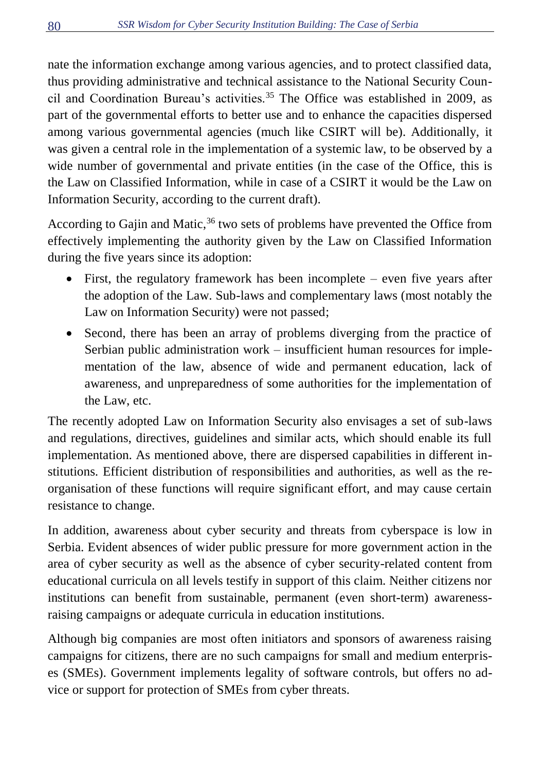nate the information exchange among various agencies, and to protect classified data, thus providing administrative and technical assistance to the National Security Council and Coordination Bureau's activities.<sup>35</sup> The Office was established in 2009, as part of the governmental efforts to better use and to enhance the capacities dispersed among various governmental agencies (much like CSIRT will be). Additionally, it was given a central role in the implementation of a systemic law, to be observed by a wide number of governmental and private entities (in the case of the Office, this is the Law on Classified Information, while in case of a CSIRT it would be the Law on Information Security, according to the current draft).

According to Gajin and Matic,  $36$  two sets of problems have prevented the Office from effectively implementing the authority given by the Law on Classified Information during the five years since its adoption:

- First, the regulatory framework has been incomplete even five years after the adoption of the Law. Sub-laws and complementary laws (most notably the Law on Information Security) were not passed;
- Second, there has been an array of problems diverging from the practice of Serbian public administration work – insufficient human resources for implementation of the law, absence of wide and permanent education, lack of awareness, and unpreparedness of some authorities for the implementation of the Law, etc.

The recently adopted Law on Information Security also envisages a set of sub-laws and regulations, directives, guidelines and similar acts, which should enable its full implementation. As mentioned above, there are dispersed capabilities in different institutions. Efficient distribution of responsibilities and authorities, as well as the reorganisation of these functions will require significant effort, and may cause certain resistance to change.

In addition, awareness about cyber security and threats from cyberspace is low in Serbia. Evident absences of wider public pressure for more government action in the area of cyber security as well as the absence of cyber security-related content from educational curricula on all levels testify in support of this claim. Neither citizens nor institutions can benefit from sustainable, permanent (even short-term) awarenessraising campaigns or adequate curricula in education institutions.

Although big companies are most often initiators and sponsors of awareness raising campaigns for citizens, there are no such campaigns for small and medium enterprises (SMEs). Government implements legality of software controls, but offers no advice or support for protection of SMEs from cyber threats.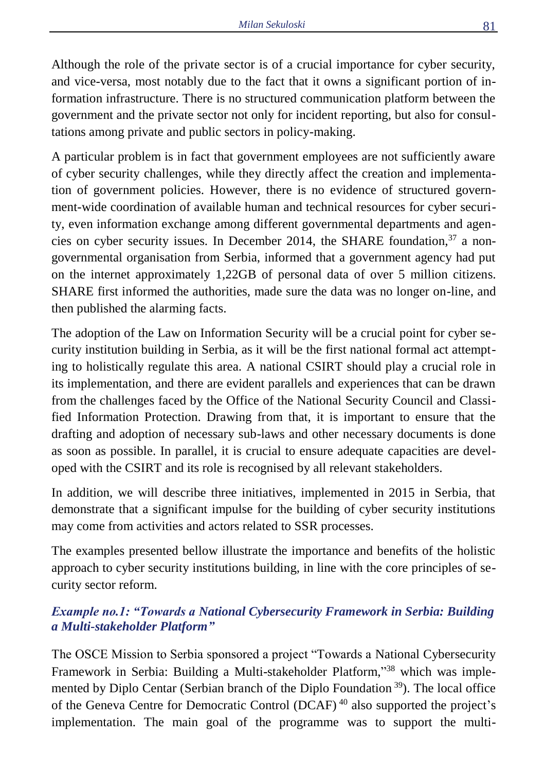Although the role of the private sector is of a crucial importance for cyber security, and vice-versa, most notably due to the fact that it owns a significant portion of information infrastructure. There is no structured communication platform between the government and the private sector not only for incident reporting, but also for consultations among private and public sectors in policy-making.

A particular problem is in fact that government employees are not sufficiently aware of cyber security challenges, while they directly affect the creation and implementation of government policies. However, there is no evidence of structured government-wide coordination of available human and technical resources for cyber security, even information exchange among different governmental departments and agencies on cyber security issues. In December 2014, the SHARE foundation, <sup>37</sup> a nongovernmental organisation from Serbia, informed that a government agency had put on the internet approximately 1,22GB of personal data of over 5 million citizens. SHARE first informed the authorities, made sure the data was no longer on-line, and then published the alarming facts.

The adoption of the Law on Information Security will be a crucial point for cyber security institution building in Serbia, as it will be the first national formal act attempting to holistically regulate this area. A national CSIRT should play a crucial role in its implementation, and there are evident parallels and experiences that can be drawn from the challenges faced by the Office of the National Security Council and Classified Information Protection. Drawing from that, it is important to ensure that the drafting and adoption of necessary sub-laws and other necessary documents is done as soon as possible. In parallel, it is crucial to ensure adequate capacities are developed with the CSIRT and its role is recognised by all relevant stakeholders.

In addition, we will describe three initiatives, implemented in 2015 in Serbia, that demonstrate that a significant impulse for the building of cyber security institutions may come from activities and actors related to SSR processes.

The examples presented bellow illustrate the importance and benefits of the holistic approach to cyber security institutions building, in line with the core principles of security sector reform.

### *Example no.1: "Towards a National Cybersecurity Framework in Serbia: Building a Multi-stakeholder Platform"*

The OSCE Mission to Serbia sponsored a project "Towards a National Cybersecurity Framework in Serbia: Building a Multi-stakeholder Platform,"<sup>38</sup> which was implemented by Diplo Centar (Serbian branch of the Diplo Foundation <sup>39</sup>). The local office of the Geneva Centre for Democratic Control (DCAF) <sup>40</sup> also supported the project's implementation. The main goal of the programme was to support the multi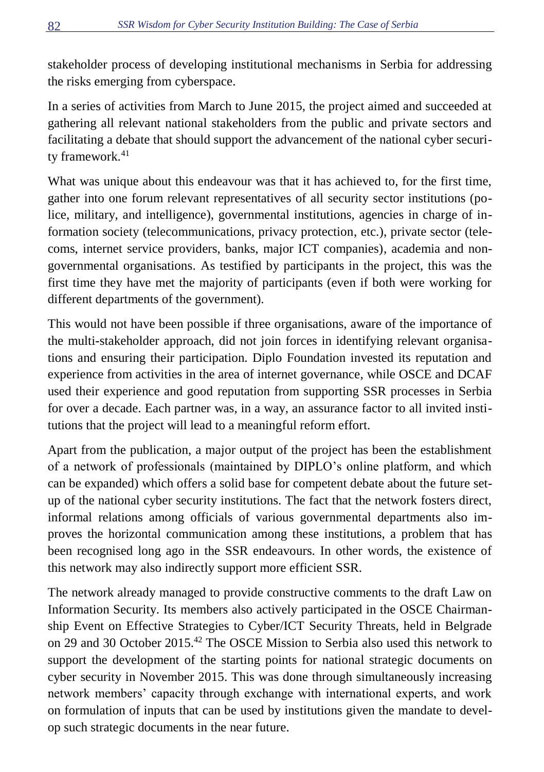stakeholder process of developing institutional mechanisms in Serbia for addressing the risks emerging from cyberspace.

In a series of activities from March to June 2015, the project aimed and succeeded at gathering all relevant national stakeholders from the public and private sectors and facilitating a debate that should support the advancement of the national cyber security framework.<sup>41</sup>

What was unique about this endeavour was that it has achieved to, for the first time, gather into one forum relevant representatives of all security sector institutions (police, military, and intelligence), governmental institutions, agencies in charge of information society (telecommunications, privacy protection, etc.), private sector (telecoms, internet service providers, banks, major ICT companies), academia and nongovernmental organisations. As testified by participants in the project, this was the first time they have met the majority of participants (even if both were working for different departments of the government).

This would not have been possible if three organisations, aware of the importance of the multi-stakeholder approach, did not join forces in identifying relevant organisations and ensuring their participation. Diplo Foundation invested its reputation and experience from activities in the area of internet governance, while OSCE and DCAF used their experience and good reputation from supporting SSR processes in Serbia for over a decade. Each partner was, in a way, an assurance factor to all invited institutions that the project will lead to a meaningful reform effort.

Apart from the publication, a major output of the project has been the establishment of a network of professionals (maintained by DIPLO's online platform, and which can be expanded) which offers a solid base for competent debate about the future setup of the national cyber security institutions. The fact that the network fosters direct, informal relations among officials of various governmental departments also improves the horizontal communication among these institutions, a problem that has been recognised long ago in the SSR endeavours. In other words, the existence of this network may also indirectly support more efficient SSR.

The network already managed to provide constructive comments to the draft Law on Information Security. Its members also actively participated in the OSCE Chairmanship Event on Effective Strategies to Cyber/ICT Security Threats, held in Belgrade on 29 and 30 October 2015.<sup>42</sup> The OSCE Mission to Serbia also used this network to support the development of the starting points for national strategic documents on cyber security in November 2015. This was done through simultaneously increasing network members' capacity through exchange with international experts, and work on formulation of inputs that can be used by institutions given the mandate to develop such strategic documents in the near future.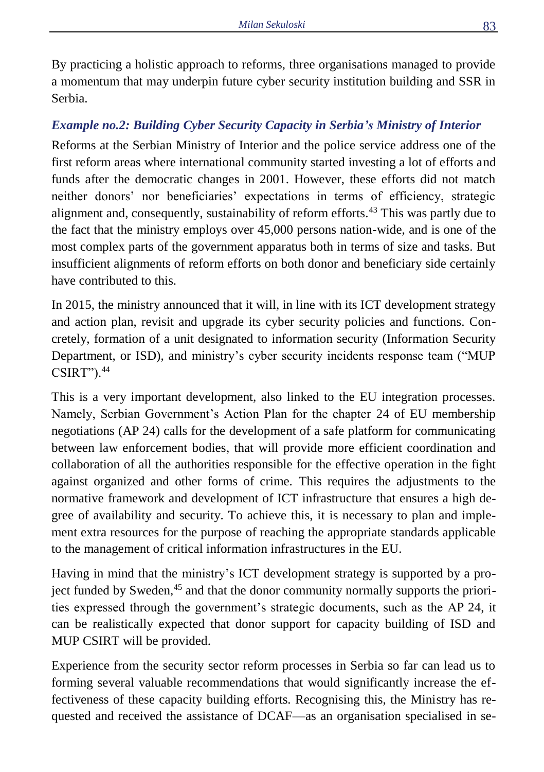By practicing a holistic approach to reforms, three organisations managed to provide a momentum that may underpin future cyber security institution building and SSR in Serbia.

### *Example no.2: Building Cyber Security Capacity in Serbia's Ministry of Interior*

Reforms at the Serbian Ministry of Interior and the police service address one of the first reform areas where international community started investing a lot of efforts and funds after the democratic changes in 2001. However, these efforts did not match neither donors' nor beneficiaries' expectations in terms of efficiency, strategic alignment and, consequently, sustainability of reform efforts.<sup>43</sup> This was partly due to the fact that the ministry employs over 45,000 persons nation-wide, and is one of the most complex parts of the government apparatus both in terms of size and tasks. But insufficient alignments of reform efforts on both donor and beneficiary side certainly have contributed to this.

In 2015, the ministry announced that it will, in line with its ICT development strategy and action plan, revisit and upgrade its cyber security policies and functions. Concretely, formation of a unit designated to information security (Information Security Department, or ISD), and ministry's cyber security incidents response team ("MUP CSIRT").<sup>44</sup>

This is a very important development, also linked to the EU integration processes. Namely, Serbian Government's Action Plan for the chapter 24 of EU membership negotiations (AP 24) calls for the development of a safe platform for communicating between law enforcement bodies, that will provide more efficient coordination and collaboration of all the authorities responsible for the effective operation in the fight against organized and other forms of crime. This requires the adjustments to the normative framework and development of ICT infrastructure that ensures a high degree of availability and security. To achieve this, it is necessary to plan and implement extra resources for the purpose of reaching the appropriate standards applicable to the management of critical information infrastructures in the EU.

Having in mind that the ministry's ICT development strategy is supported by a project funded by Sweden,<sup>45</sup> and that the donor community normally supports the priorities expressed through the government's strategic documents, such as the AP 24, it can be realistically expected that donor support for capacity building of ISD and MUP CSIRT will be provided.

Experience from the security sector reform processes in Serbia so far can lead us to forming several valuable recommendations that would significantly increase the effectiveness of these capacity building efforts. Recognising this, the Ministry has requested and received the assistance of DCAF—as an organisation specialised in se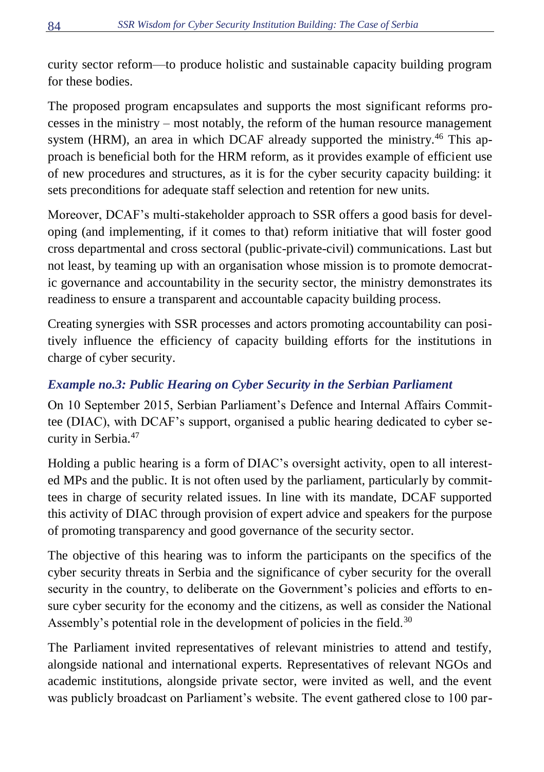curity sector reform—to produce holistic and sustainable capacity building program for these bodies.

The proposed program encapsulates and supports the most significant reforms processes in the ministry – most notably, the reform of the human resource management system (HRM), an area in which DCAF already supported the ministry.<sup>46</sup> This approach is beneficial both for the HRM reform, as it provides example of efficient use of new procedures and structures, as it is for the cyber security capacity building: it sets preconditions for adequate staff selection and retention for new units.

Moreover, DCAF's multi-stakeholder approach to SSR offers a good basis for developing (and implementing, if it comes to that) reform initiative that will foster good cross departmental and cross sectoral (public-private-civil) communications. Last but not least, by teaming up with an organisation whose mission is to promote democratic governance and accountability in the security sector, the ministry demonstrates its readiness to ensure a transparent and accountable capacity building process.

Creating synergies with SSR processes and actors promoting accountability can positively influence the efficiency of capacity building efforts for the institutions in charge of cyber security.

# *Example no.3: Public Hearing on Cyber Security in the Serbian Parliament*

On 10 September 2015, Serbian Parliament's Defence and Internal Affairs Committee (DIAC), with DCAF's support, organised a public hearing dedicated to cyber security in Serbia.<sup>47</sup>

Holding a public hearing is a form of DIAC's oversight activity, open to all interested MPs and the public. It is not often used by the parliament, particularly by committees in charge of security related issues. In line with its mandate, DCAF supported this activity of DIAC through provision of expert advice and speakers for the purpose of promoting transparency and good governance of the security sector.

The objective of this hearing was to inform the participants on the specifics of the cyber security threats in Serbia and the significance of cyber security for the overall security in the country, to deliberate on the Government's policies and efforts to ensure cyber security for the economy and the citizens, as well as consider the National Assembly's potential role in the development of policies in the field.<sup>30</sup>

The Parliament invited representatives of relevant ministries to attend and testify, alongside national and international experts. Representatives of relevant NGOs and academic institutions, alongside private sector, were invited as well, and the event was publicly broadcast on Parliament's website. The event gathered close to 100 par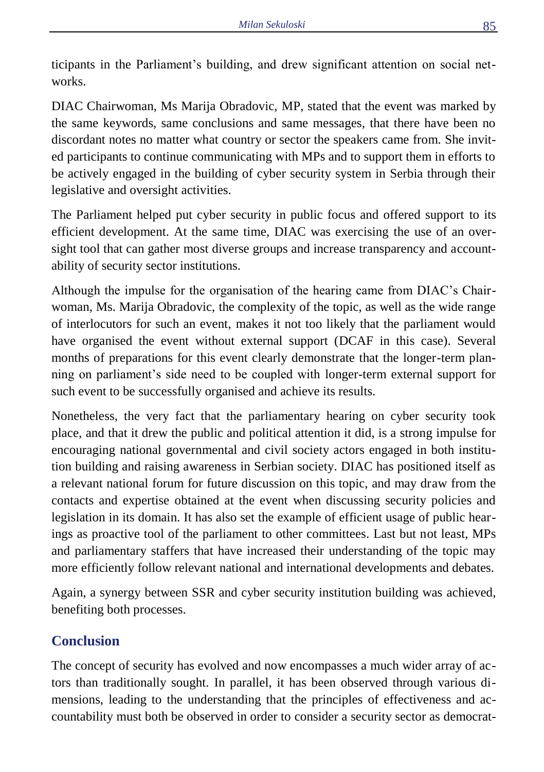ticipants in the Parliament's building, and drew significant attention on social networks.

DIAC Chairwoman, Ms Marija Obradovic, MP, stated that the event was marked by the same keywords, same conclusions and same messages, that there have been no discordant notes no matter what country or sector the speakers came from. She invited participants to continue communicating with MPs and to support them in efforts to be actively engaged in the building of cyber security system in Serbia through their legislative and oversight activities.

The Parliament helped put cyber security in public focus and offered support to its efficient development. At the same time, DIAC was exercising the use of an oversight tool that can gather most diverse groups and increase transparency and accountability of security sector institutions.

Although the impulse for the organisation of the hearing came from DIAC's Chairwoman, Ms. Marija Obradovic, the complexity of the topic, as well as the wide range of interlocutors for such an event, makes it not too likely that the parliament would have organised the event without external support (DCAF in this case). Several months of preparations for this event clearly demonstrate that the longer-term planning on parliament's side need to be coupled with longer-term external support for such event to be successfully organised and achieve its results.

Nonetheless, the very fact that the parliamentary hearing on cyber security took place, and that it drew the public and political attention it did, is a strong impulse for encouraging national governmental and civil society actors engaged in both institution building and raising awareness in Serbian society. DIAC has positioned itself as a relevant national forum for future discussion on this topic, and may draw from the contacts and expertise obtained at the event when discussing security policies and legislation in its domain. It has also set the example of efficient usage of public hearings as proactive tool of the parliament to other committees. Last but not least, MPs and parliamentary staffers that have increased their understanding of the topic may more efficiently follow relevant national and international developments and debates.

Again, a synergy between SSR and cyber security institution building was achieved, benefiting both processes.

# **Conclusion**

The concept of security has evolved and now encompasses a much wider array of actors than traditionally sought. In parallel, it has been observed through various dimensions, leading to the understanding that the principles of effectiveness and accountability must both be observed in order to consider a security sector as democrat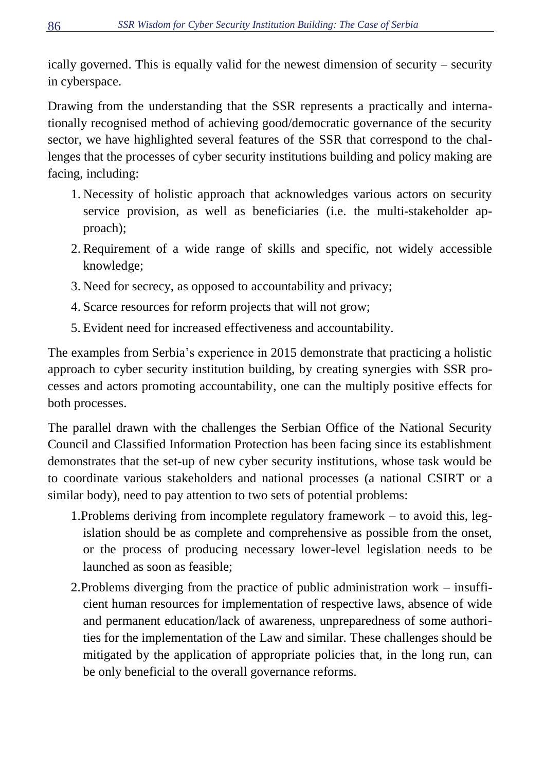ically governed. This is equally valid for the newest dimension of security – security in cyberspace.

Drawing from the understanding that the SSR represents a practically and internationally recognised method of achieving good/democratic governance of the security sector, we have highlighted several features of the SSR that correspond to the challenges that the processes of cyber security institutions building and policy making are facing, including:

- 1. Necessity of holistic approach that acknowledges various actors on security service provision, as well as beneficiaries (i.e. the multi-stakeholder approach);
- 2. Requirement of a wide range of skills and specific, not widely accessible knowledge;
- 3. Need for secrecy, as opposed to accountability and privacy;
- 4. Scarce resources for reform projects that will not grow;
- 5. Evident need for increased effectiveness and accountability.

The examples from Serbia's experience in 2015 demonstrate that practicing a holistic approach to cyber security institution building, by creating synergies with SSR processes and actors promoting accountability, one can the multiply positive effects for both processes.

The parallel drawn with the challenges the Serbian Office of the National Security Council and Classified Information Protection has been facing since its establishment demonstrates that the set-up of new cyber security institutions, whose task would be to coordinate various stakeholders and national processes (a national CSIRT or a similar body), need to pay attention to two sets of potential problems:

- 1.Problems deriving from incomplete regulatory framework to avoid this, legislation should be as complete and comprehensive as possible from the onset, or the process of producing necessary lower-level legislation needs to be launched as soon as feasible;
- 2.Problems diverging from the practice of public administration work insufficient human resources for implementation of respective laws, absence of wide and permanent education/lack of awareness, unpreparedness of some authorities for the implementation of the Law and similar. These challenges should be mitigated by the application of appropriate policies that, in the long run, can be only beneficial to the overall governance reforms.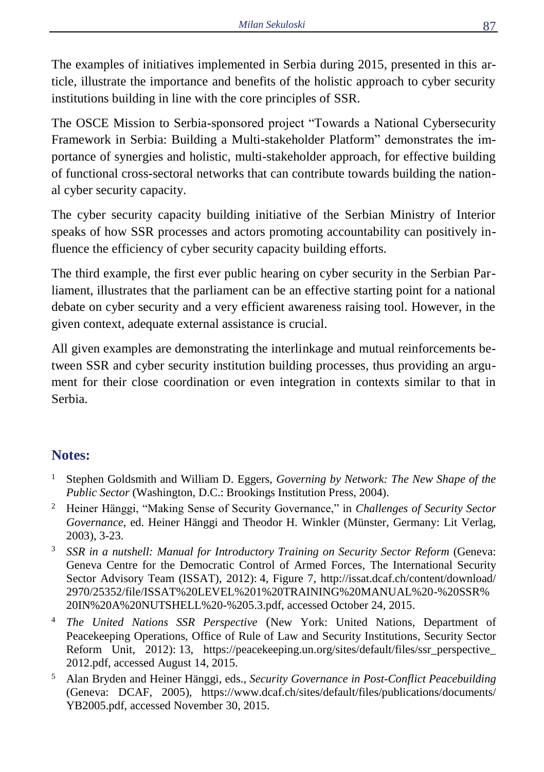The examples of initiatives implemented in Serbia during 2015, presented in this article, illustrate the importance and benefits of the holistic approach to cyber security institutions building in line with the core principles of SSR.

The OSCE Mission to Serbia-sponsored project "Towards a National Cybersecurity Framework in Serbia: Building a Multi-stakeholder Platform" demonstrates the importance of synergies and holistic, multi-stakeholder approach, for effective building of functional cross-sectoral networks that can contribute towards building the national cyber security capacity.

The cyber security capacity building initiative of the Serbian Ministry of Interior speaks of how SSR processes and actors promoting accountability can positively influence the efficiency of cyber security capacity building efforts.

The third example, the first ever public hearing on cyber security in the Serbian Parliament, illustrates that the parliament can be an effective starting point for a national debate on cyber security and a very efficient awareness raising tool. However, in the given context, adequate external assistance is crucial.

All given examples are demonstrating the interlinkage and mutual reinforcements between SSR and cyber security institution building processes, thus providing an argument for their close coordination or even integration in contexts similar to that in Serbia.

# **Notes:**

- <sup>1</sup> Stephen Goldsmith and William D. Eggers, *Governing by Network: The New Shape of the Public Sector* (Washington, D.C.: Brookings Institution Press, 2004).
- <sup>2</sup> Heiner Hänggi, "Making Sense of Security Governance," in *Challenges of Security Sector Governance*, ed. Heiner Hänggi and Theodor H. Winkler (Münster, Germany: Lit Verlag, 2003), 3-23.
- <sup>3</sup> *SSR in a nutshell: Manual for Introductory Training on Security Sector Reform* (Geneva: Geneva Centre for the Democratic Control of Armed Forces, The International Security Sector Advisory Team (ISSAT), 2012): 4, Figure 7, http://issat.dcaf.ch/content/download/ 2970/25352/file/ISSAT%20LEVEL%201%20TRAINING%20MANUAL%20-%20SSR% 20IN%20A%20NUTSHELL%20-%205.3.pdf, accessed October 24, 2015.
- <sup>4</sup> *The United Nations SSR Perspective* (New York: United Nations, Department of Peacekeeping Operations, Office of Rule of Law and Security Institutions, Security Sector Reform Unit, 2012): 13, https://peacekeeping.un.org/sites/default/files/ssr\_perspective\_ 2012.pdf, accessed August 14, 2015.
- <sup>5</sup> Alan Bryden and Heiner Hänggi, eds., *Security Governance in Post-Conflict Peacebuilding* (Geneva: DCAF, 2005), https://www.dcaf.ch/sites/default/files/publications/documents/ YB2005.pdf, accessed November 30, 2015.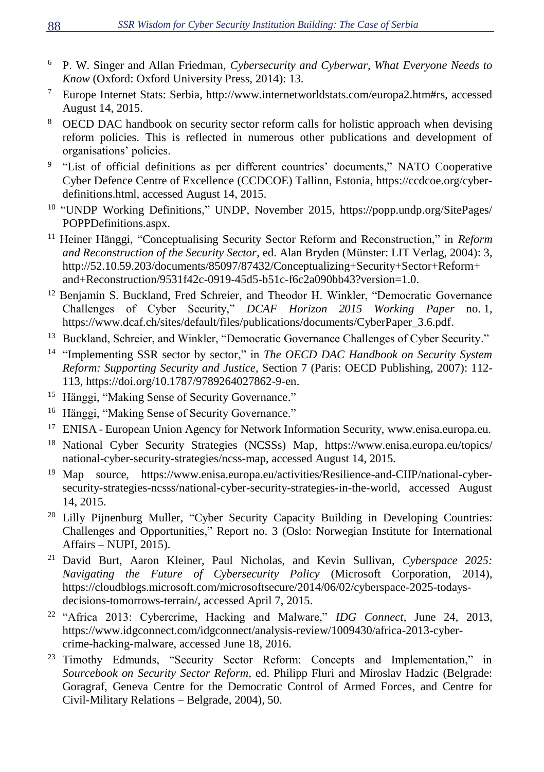- <sup>6</sup> P. W. Singer and Allan Friedman, *Cybersecurity and Cyberwar, What Everyone Needs to Know* (Oxford: Oxford University Press, 2014): 13.
- <sup>7</sup> Europe Internet Stats: Serbia, http://www.internetworldstats.com/europa2.htm#rs, accessed August 14, 2015.
- <sup>8</sup> OECD DAC handbook on security sector reform calls for holistic approach when devising reform policies. This is reflected in numerous other publications and development of organisations' policies.
- <sup>9</sup> "List of official definitions as per different countries' documents," NATO Cooperative Cyber Defence Centre of Excellence (CCDCOE) Tallinn, Estonia, https://ccdcoe.org/cyberdefinitions.html, accessed August 14, 2015.
- <sup>10</sup> "UNDP Working Definitions," UNDP, November 2015, https://popp.undp.org/SitePages/ POPPDefinitions.aspx.
- <sup>11</sup> Heiner Hänggi, "Conceptualising Security Sector Reform and Reconstruction," in *Reform and Reconstruction of the Security Sector*, ed. Alan Bryden (Münster: LIT Verlag, 2004): 3, http://52.10.59.203/documents/85097/87432/Conceptualizing+Security+Sector+Reform+ and+Reconstruction/9531f42c-0919-45d5-b51c-f6c2a090bb43?version=1.0.
- $12$  Benjamin S. Buckland, Fred Schreier, and Theodor H. Winkler, "Democratic Governance" Challenges of Cyber Security," *DCAF Horizon 2015 Working Paper* no. 1, https://www.dcaf.ch/sites/default/files/publications/documents/CyberPaper\_3.6.pdf.
- <sup>13</sup> Buckland, Schreier, and Winkler, "Democratic Governance Challenges of Cyber Security."
- 14 "Implementing SSR sector by sector," in *The OECD DAC Handbook on Security System Reform: Supporting Security and Justice*, Section 7 (Paris: OECD Publishing, 2007): 112- 113, https://doi.org/10.1787/9789264027862-9-en.
- <sup>15</sup> Hänggi, "Making Sense of Security Governance."
- <sup>16</sup> Hänggi, "Making Sense of Security Governance."
- <sup>17</sup> ENISA European Union Agency for Network Information Security, www.enisa.europa.eu.
- <sup>18</sup> National Cyber Security Strategies (NCSSs) Map, https://www.enisa.europa.eu/topics/ national-cyber-security-strategies/ncss-map, accessed August 14, 2015.
- <sup>19</sup> Map source, https://www.enisa.europa.eu/activities/Resilience-and-CIIP/national-cybersecurity-strategies-ncsss/national-cyber-security-strategies-in-the-world, accessed August 14, 2015.
- <sup>20</sup> Lilly Piinenburg Muller, "Cyber Security Capacity Building in Developing Countries: Challenges and Opportunities," Report no. 3 (Oslo: Norwegian Institute for International Affairs – NUPI, 2015).
- <sup>21</sup> David Burt, Aaron Kleiner, Paul Nicholas, and Kevin Sullivan, *Cyberspace 2025: Navigating the Future of Cybersecurity Policy* (Microsoft Corporation, 2014), https://cloudblogs.microsoft.com/microsoftsecure/2014/06/02/cyberspace-2025-todaysdecisions-tomorrows-terrain/, accessed April 7, 2015.
- <sup>22</sup> "Africa 2013: Cybercrime, Hacking and Malware," *IDG Connect*, June 24, 2013, https://www.idgconnect.com/idgconnect/analysis-review/1009430/africa-2013-cybercrime-hacking-malware, accessed June 18, 2016.
- <sup>23</sup> Timothy Edmunds, "Security Sector Reform: Concepts and Implementation," in *Sourcebook on Security Sector Reform*, ed. Philipp Fluri and Miroslav Hadzic (Belgrade: Goragraf, Geneva Centre for the Democratic Control of Armed Forces, and Centre for Civil-Military Relations – Belgrade, 2004), 50.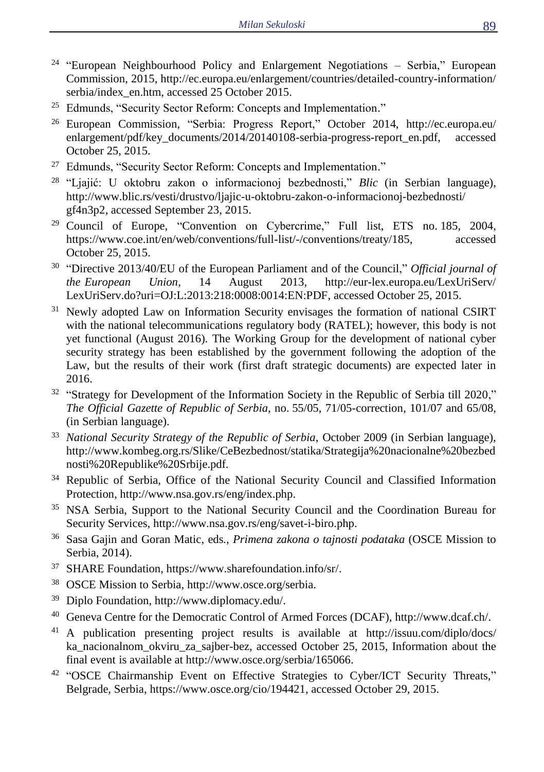- <sup>24</sup> "European Neighbourhood Policy and Enlargement Negotiations Serbia," European Commission, 2015, http://ec.europa.eu/enlargement/countries/detailed-country-information/ serbia/index\_en.htm, accessed 25 October 2015.
- <sup>25</sup> Edmunds, "Security Sector Reform: Concepts and Implementation."
- <sup>26</sup> European Commission, "Serbia: Progress Report," October 2014, http://ec.europa.eu/ enlargement/pdf/key\_documents/2014/20140108-serbia-progress-report\_en.pdf, accessed October 25, 2015.
- <sup>27</sup> Edmunds, "Security Sector Reform: Concepts and Implementation."
- <sup>28</sup> "Ljajić: U oktobru zakon o informacionoj bezbednosti," *Blic* (in Serbian language), http://www.blic.rs/vesti/drustvo/ljajic-u-oktobru-zakon-o-informacionoj-bezbednosti/ gf4n3p2, accessed September 23, 2015.
- <sup>29</sup> Council of Europe, "Convention on Cybercrime," Full list, ETS no. 185, 2004, https://www.coe.int/en/web/conventions/full-list/-/conventions/treaty/185, accessed October 25, 2015.
- 30 "Directive 2013/40/EU of the European Parliament and of the Council," *Official journal of the European Union*, 14 August 2013, http://eur-lex.europa.eu/LexUriServ/ LexUriServ.do?uri=OJ:L:2013:218:0008:0014:EN:PDF, accessed October 25, 2015.
- <sup>31</sup> Newly adopted Law on Information Security envisages the formation of national CSIRT with the national telecommunications regulatory body (RATEL); however, this body is not yet functional (August 2016). The Working Group for the development of national cyber security strategy has been established by the government following the adoption of the Law, but the results of their work (first draft strategic documents) are expected later in 2016.
- <sup>32</sup> "Strategy for Development of the Information Society in the Republic of Serbia till 2020," *The Official Gazette of Republic of Serbia*, no. 55/05, 71/05-correction, 101/07 and 65/08, (in Serbian language).
- <sup>33</sup> *National Security Strategy of the Republic of Serbia*, October 2009 (in Serbian language), http://www.kombeg.org.rs/Slike/CeBezbednost/statika/Strategija%20nacionalne%20bezbed nosti%20Republike%20Srbije.pdf.
- <sup>34</sup> Republic of Serbia, Office of the National Security Council and Classified Information Protection, http://www.nsa.gov.rs/eng/index.php.
- <sup>35</sup> NSA Serbia, Support to the National Security Council and the Coordination Bureau for Security Services, http://www.nsa.gov.rs/eng/savet-i-biro.php.
- <sup>36</sup> Sasa Gajin and Goran Matic, eds., *Primena zakona o tajnosti podataka* (OSCE Mission to Serbia, 2014).
- <sup>37</sup> SHARE Foundation, https://www.sharefoundation.info/sr/.
- <sup>38</sup> OSCE Mission to Serbia, http://www.osce.org/serbia.
- <sup>39</sup> Diplo Foundation, http://www.diplomacy.edu/.
- <sup>40</sup> Geneva Centre for the Democratic Control of Armed Forces (DCAF), http://www.dcaf.ch/.
- <sup>41</sup> A publication presenting project results is available at http://issuu.com/diplo/docs/ ka\_nacionalnom\_okviru\_za\_sajber-bez, accessed October 25, 2015, Information about the final event is available at http://www.osce.org/serbia/165066.
- 42 "OSCE Chairmanship Event on Effective Strategies to Cyber/ICT Security Threats," Belgrade, Serbia, https://www.osce.org/cio/194421, accessed October 29, 2015.